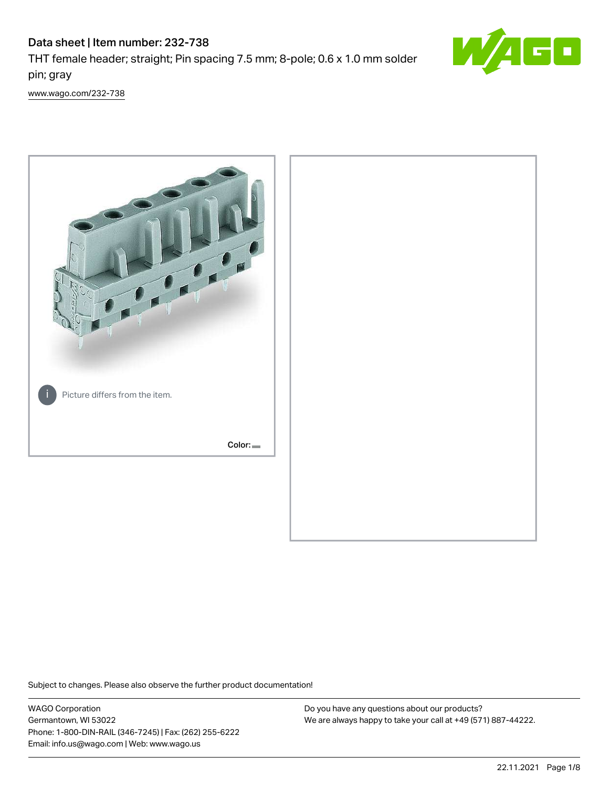# Data sheet | Item number: 232-738 THT female header; straight; Pin spacing 7.5 mm; 8-pole; 0.6 x 1.0 mm solder



[www.wago.com/232-738](http://www.wago.com/232-738)

pin; gray



Subject to changes. Please also observe the further product documentation!

WAGO Corporation Germantown, WI 53022 Phone: 1-800-DIN-RAIL (346-7245) | Fax: (262) 255-6222 Email: info.us@wago.com | Web: www.wago.us

Do you have any questions about our products? We are always happy to take your call at +49 (571) 887-44222.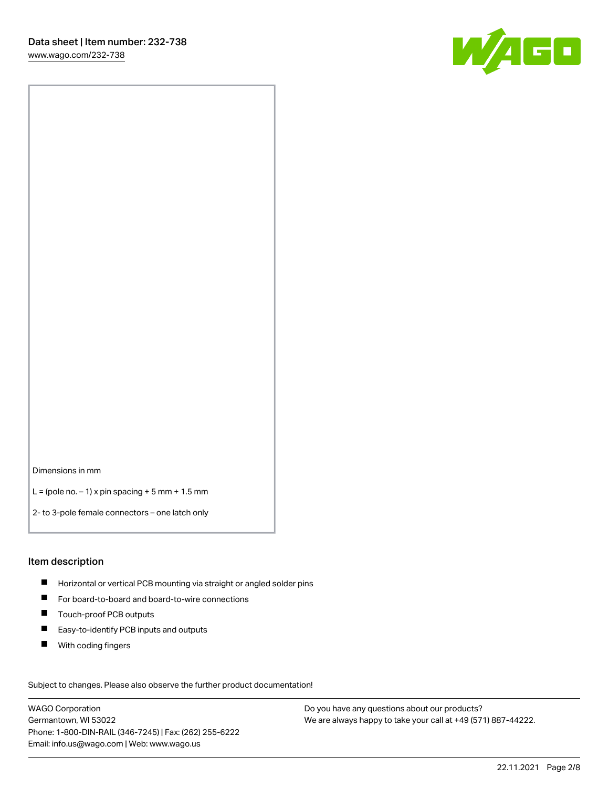

Dimensions in mm

 $L =$  (pole no.  $-1$ ) x pin spacing  $+5$  mm  $+ 1.5$  mm

2- to 3-pole female connectors – one latch only

#### Item description

- **Horizontal or vertical PCB mounting via straight or angled solder pins**
- For board-to-board and board-to-wire connections
- Touch-proof PCB outputs  $\blacksquare$
- $\blacksquare$ Easy-to-identify PCB inputs and outputs
- $\blacksquare$ With coding fingers

Subject to changes. Please also observe the further product documentation! Data

WAGO Corporation Germantown, WI 53022 Phone: 1-800-DIN-RAIL (346-7245) | Fax: (262) 255-6222 Email: info.us@wago.com | Web: www.wago.us

Do you have any questions about our products? We are always happy to take your call at +49 (571) 887-44222.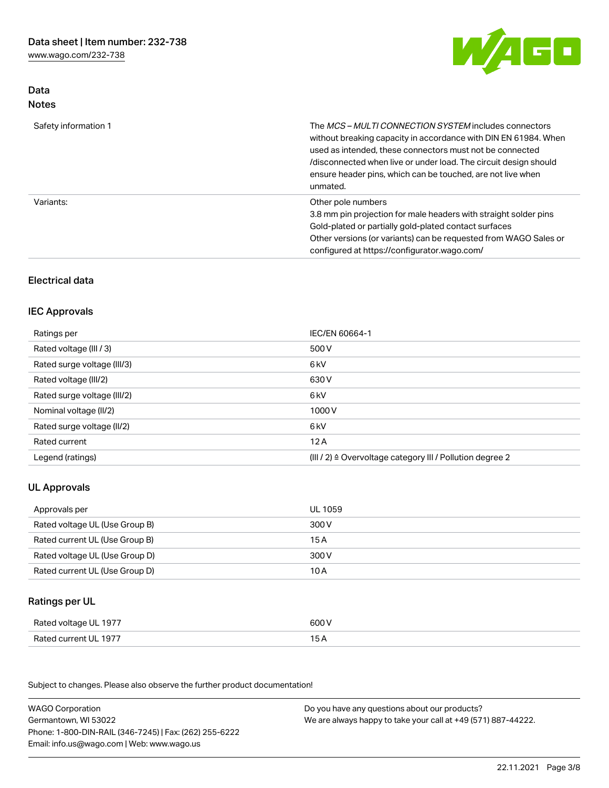[www.wago.com/232-738](http://www.wago.com/232-738)



## Data Notes

| Safety information 1 | The <i>MCS – MULTI CONNECTION SYSTEM</i> includes connectors<br>without breaking capacity in accordance with DIN EN 61984. When<br>used as intended, these connectors must not be connected<br>/disconnected when live or under load. The circuit design should<br>ensure header pins, which can be touched, are not live when<br>unmated. |
|----------------------|--------------------------------------------------------------------------------------------------------------------------------------------------------------------------------------------------------------------------------------------------------------------------------------------------------------------------------------------|
| Variants:            | Other pole numbers<br>3.8 mm pin projection for male headers with straight solder pins<br>Gold-plated or partially gold-plated contact surfaces<br>Other versions (or variants) can be requested from WAGO Sales or<br>configured at https://configurator.wago.com/                                                                        |

## Electrical data

## IEC Approvals

| Ratings per                 | IEC/EN 60664-1                                                        |
|-----------------------------|-----------------------------------------------------------------------|
| Rated voltage (III / 3)     | 500 V                                                                 |
| Rated surge voltage (III/3) | 6 <sub>kV</sub>                                                       |
| Rated voltage (III/2)       | 630 V                                                                 |
| Rated surge voltage (III/2) | 6 <sub>kV</sub>                                                       |
| Nominal voltage (II/2)      | 1000V                                                                 |
| Rated surge voltage (II/2)  | 6 <sub>kV</sub>                                                       |
| Rated current               | 12A                                                                   |
| Legend (ratings)            | $(III / 2)$ $\triangle$ Overvoltage category III / Pollution degree 2 |

## UL Approvals

| Approvals per                  | UL 1059 |
|--------------------------------|---------|
| Rated voltage UL (Use Group B) | 300 V   |
| Rated current UL (Use Group B) | 15 A    |
| Rated voltage UL (Use Group D) | 300 V   |
| Rated current UL (Use Group D) | 10 A    |

## Ratings per UL

| UL 1977                | 600                                 |
|------------------------|-------------------------------------|
| Rated voltage          | .                                   |
| Rated current<br>-1977 | the contract of the contract of the |

Subject to changes. Please also observe the further product documentation!

| <b>WAGO Corporation</b>                                | Do you have any questions about our products?                 |
|--------------------------------------------------------|---------------------------------------------------------------|
| Germantown, WI 53022                                   | We are always happy to take your call at +49 (571) 887-44222. |
| Phone: 1-800-DIN-RAIL (346-7245)   Fax: (262) 255-6222 |                                                               |
| Email: info.us@wago.com   Web: www.wago.us             |                                                               |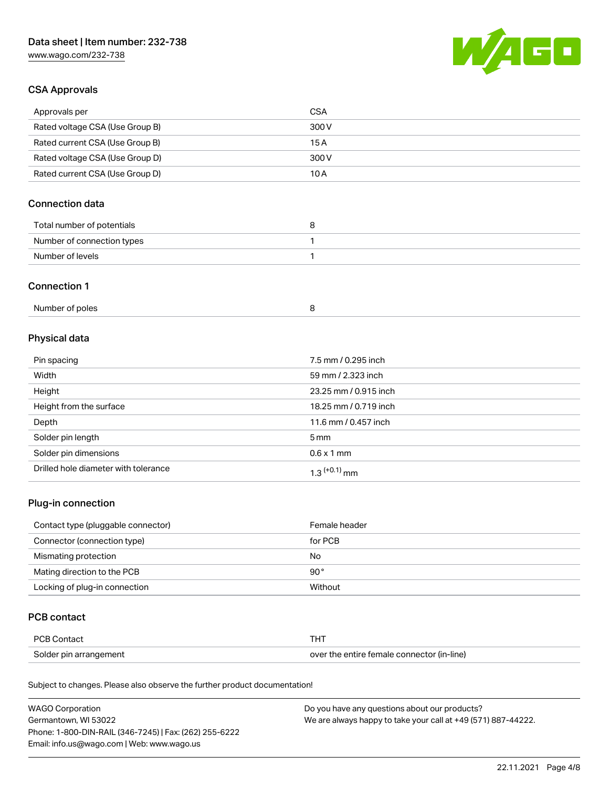[www.wago.com/232-738](http://www.wago.com/232-738)



## CSA Approvals

| Approvals per                   | CSA   |
|---------------------------------|-------|
| Rated voltage CSA (Use Group B) | 300 V |
| Rated current CSA (Use Group B) | 15 A  |
| Rated voltage CSA (Use Group D) | 300 V |
| Rated current CSA (Use Group D) | 10 A  |

## Connection data

| Total number of potentials |  |
|----------------------------|--|
| Number of connection types |  |
| Number of levels           |  |

#### Connection 1

| Number of poles |  |
|-----------------|--|
|-----------------|--|

## Physical data

| Pin spacing                          | 7.5 mm / 0.295 inch   |
|--------------------------------------|-----------------------|
| Width                                | 59 mm / 2.323 inch    |
| Height                               | 23.25 mm / 0.915 inch |
| Height from the surface              | 18.25 mm / 0.719 inch |
| Depth                                | 11.6 mm / 0.457 inch  |
| Solder pin length                    | $5 \,\mathrm{mm}$     |
| Solder pin dimensions                | $0.6 \times 1$ mm     |
| Drilled hole diameter with tolerance | $1.3$ $(+0.1)$ mm     |

## Plug-in connection

| Contact type (pluggable connector) | Female header |
|------------------------------------|---------------|
| Connector (connection type)        | for PCB       |
| Mismating protection               | No            |
| Mating direction to the PCB        | $90^{\circ}$  |
| Locking of plug-in connection      | Without       |

## PCB contact

| PCB Contact            | THT                                        |
|------------------------|--------------------------------------------|
| Solder pin arrangement | over the entire female connector (in-line) |

Subject to changes. Please also observe the further product documentation!

| <b>WAGO Corporation</b>                                | Do you have any questions about our products?                 |
|--------------------------------------------------------|---------------------------------------------------------------|
| Germantown, WI 53022                                   | We are always happy to take your call at +49 (571) 887-44222. |
| Phone: 1-800-DIN-RAIL (346-7245)   Fax: (262) 255-6222 |                                                               |
| Email: info.us@wago.com   Web: www.wago.us             |                                                               |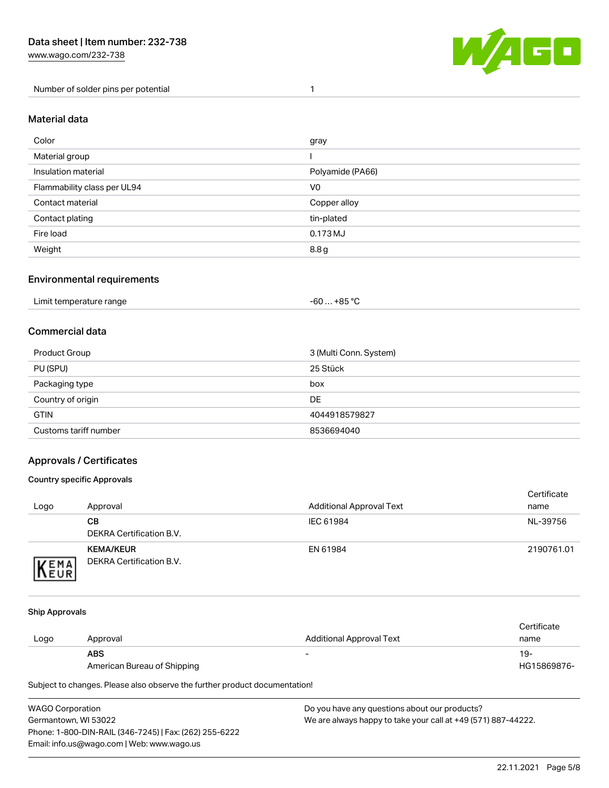Number of solder pins per potential 1



#### Material data

| Color                       | gray             |
|-----------------------------|------------------|
| Material group              |                  |
| Insulation material         | Polyamide (PA66) |
| Flammability class per UL94 | V <sub>0</sub>   |
| Contact material            | Copper alloy     |
| Contact plating             | tin-plated       |
| Fire load                   | 0.173 MJ         |
| Weight                      | 8.8g             |

### Environmental requirements

| Limit temperature range<br>. | +85 °C<br>-60 |  |
|------------------------------|---------------|--|
|------------------------------|---------------|--|

## Commercial data

| Product Group         | 3 (Multi Conn. System) |
|-----------------------|------------------------|
| PU (SPU)              | 25 Stück               |
| Packaging type        | box                    |
| Country of origin     | DE                     |
| <b>GTIN</b>           | 4044918579827          |
| Customs tariff number | 8536694040             |

## Approvals / Certificates

#### Country specific Approvals

| Logo                | Approval                                            | <b>Additional Approval Text</b> | Certificate<br>name |
|---------------------|-----------------------------------------------------|---------------------------------|---------------------|
|                     | CВ<br>DEKRA Certification B.V.                      | IEC 61984                       | NL-39756            |
| EMA<br><b>INEUR</b> | <b>KEMA/KEUR</b><br><b>DEKRA Certification B.V.</b> | EN 61984                        | 2190761.01          |

#### Ship Approvals

| Logo | Approval                    | Additional Approval Text | Certificate<br>name |
|------|-----------------------------|--------------------------|---------------------|
|      | <b>ABS</b>                  | -                        | 19-                 |
|      | American Bureau of Shipping |                          | HG15869876-         |

Subject to changes. Please also observe the further product documentation!

WAGO Corporation Germantown, WI 53022 Phone: 1-800-DIN-RAIL (346-7245) | Fax: (262) 255-6222 Email: info.us@wago.com | Web: www.wago.us Do you have any questions about our products? We are always happy to take your call at +49 (571) 887-44222.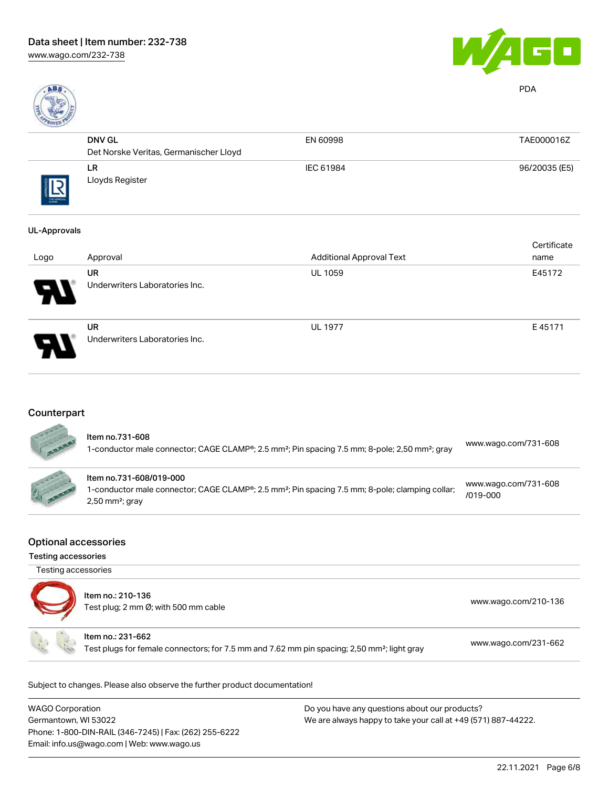



PDA

| <b>Contract Contract Contract Contract Contract Contract Contract Contract Contract Contract Contract Contract Contract Contract Contract Contract Contract Contract Contract Contract Contract Contract Contract Contract Contr</b> |                                        |           |               |
|--------------------------------------------------------------------------------------------------------------------------------------------------------------------------------------------------------------------------------------|----------------------------------------|-----------|---------------|
|                                                                                                                                                                                                                                      | <b>DNV GL</b>                          | EN 60998  | TAE000016Z    |
|                                                                                                                                                                                                                                      | Det Norske Veritas, Germanischer Lloyd |           |               |
|                                                                                                                                                                                                                                      | LR.<br>Lloyds Register                 | IEC 61984 | 96/20035 (E5) |
| THE APROVA                                                                                                                                                                                                                           |                                        |           |               |
|                                                                                                                                                                                                                                      |                                        |           |               |

#### UL-Approvals

| Logo | Approval                                    | <b>Additional Approval Text</b> | Certificate<br>name |
|------|---------------------------------------------|---------------------------------|---------------------|
| Ъ.   | <b>UR</b><br>Underwriters Laboratories Inc. | <b>UL 1059</b>                  | E45172              |
| 9.   | <b>UR</b><br>Underwriters Laboratories Inc. | <b>UL 1977</b>                  | E45171              |

## **Counterpart**

| ltem no.731-608<br>1-conductor male connector; CAGE CLAMP®; 2.5 mm <sup>2</sup> ; Pin spacing 7.5 mm; 8-pole; 2,50 mm <sup>2</sup> ; gray                               | www.wago.com/731-608             |
|-------------------------------------------------------------------------------------------------------------------------------------------------------------------------|----------------------------------|
| Item no.731-608/019-000<br>1-conductor male connector; CAGE CLAMP®; 2.5 mm <sup>2</sup> ; Pin spacing 7.5 mm; 8-pole; clamping collar;<br>$2,50$ mm <sup>2</sup> ; gray | www.wago.com/731-608<br>/019-000 |

#### Optional accessories

Testing accessories

| Testing accessories |                                                                                                                              |                      |
|---------------------|------------------------------------------------------------------------------------------------------------------------------|----------------------|
|                     | Item no.: 210-136<br>Test plug; 2 mm Ø; with 500 mm cable                                                                    | www.wago.com/210-136 |
|                     | Item no.: 231-662<br>Test plugs for female connectors; for 7.5 mm and 7.62 mm pin spacing; 2,50 mm <sup>2</sup> ; light gray | www.wago.com/231-662 |

Subject to changes. Please also observe the further product documentation!

| <b>WAGO Corporation</b>                                | Do you have any questions about our products?                 |
|--------------------------------------------------------|---------------------------------------------------------------|
| Germantown, WI 53022                                   | We are always happy to take your call at +49 (571) 887-44222. |
| Phone: 1-800-DIN-RAIL (346-7245)   Fax: (262) 255-6222 |                                                               |
| Email: info.us@wago.com   Web: www.wago.us             |                                                               |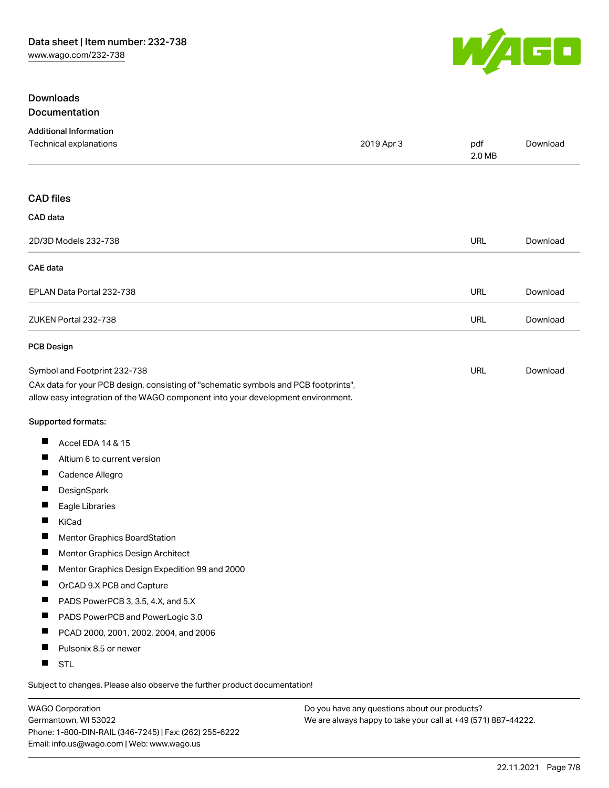

## Downloads Documentation

| <b>Additional Information</b>                                                                                                                                          |            |               |          |
|------------------------------------------------------------------------------------------------------------------------------------------------------------------------|------------|---------------|----------|
| Technical explanations                                                                                                                                                 | 2019 Apr 3 | pdf<br>2.0 MB | Download |
| <b>CAD files</b>                                                                                                                                                       |            |               |          |
| CAD data                                                                                                                                                               |            |               |          |
| 2D/3D Models 232-738                                                                                                                                                   |            | <b>URL</b>    | Download |
| <b>CAE</b> data                                                                                                                                                        |            |               |          |
| EPLAN Data Portal 232-738                                                                                                                                              |            | <b>URL</b>    | Download |
| ZUKEN Portal 232-738                                                                                                                                                   |            | URL           | Download |
| <b>PCB Design</b>                                                                                                                                                      |            |               |          |
| Symbol and Footprint 232-738                                                                                                                                           |            | URL           | Download |
| CAx data for your PCB design, consisting of "schematic symbols and PCB footprints",<br>allow easy integration of the WAGO component into your development environment. |            |               |          |
| Supported formats:                                                                                                                                                     |            |               |          |
| Accel EDA 14 & 15<br>ш                                                                                                                                                 |            |               |          |
| ш<br>Altium 6 to current version                                                                                                                                       |            |               |          |
| ш<br>Cadence Allegro                                                                                                                                                   |            |               |          |
| ш<br>DesignSpark                                                                                                                                                       |            |               |          |
| ш<br>Eagle Libraries                                                                                                                                                   |            |               |          |
| ш<br>KiCad                                                                                                                                                             |            |               |          |
| Mentor Graphics BoardStation                                                                                                                                           |            |               |          |
| ш<br>Mentor Graphics Design Architect                                                                                                                                  |            |               |          |
| Mentor Graphics Design Expedition 99 and 2000                                                                                                                          |            |               |          |
| Ш<br>OrCAD 9.X PCB and Capture                                                                                                                                         |            |               |          |
| PADS PowerPCB 3, 3.5, 4.X, and 5.X<br>ш                                                                                                                                |            |               |          |
| ш<br>PADS PowerPCB and PowerLogic 3.0                                                                                                                                  |            |               |          |
| ш<br>PCAD 2000, 2001, 2002, 2004, and 2006                                                                                                                             |            |               |          |
| ш<br>Pulsonix 8.5 or newer                                                                                                                                             |            |               |          |
| ш<br><b>STL</b>                                                                                                                                                        |            |               |          |
|                                                                                                                                                                        |            |               |          |

Subject to changes. Please also observe the further product documentation!

WAGO Corporation Germantown, WI 53022 Phone: 1-800-DIN-RAIL (346-7245) | Fax: (262) 255-6222 Email: info.us@wago.com | Web: www.wago.us

Do you have any questions about our products? We are always happy to take your call at +49 (571) 887-44222.